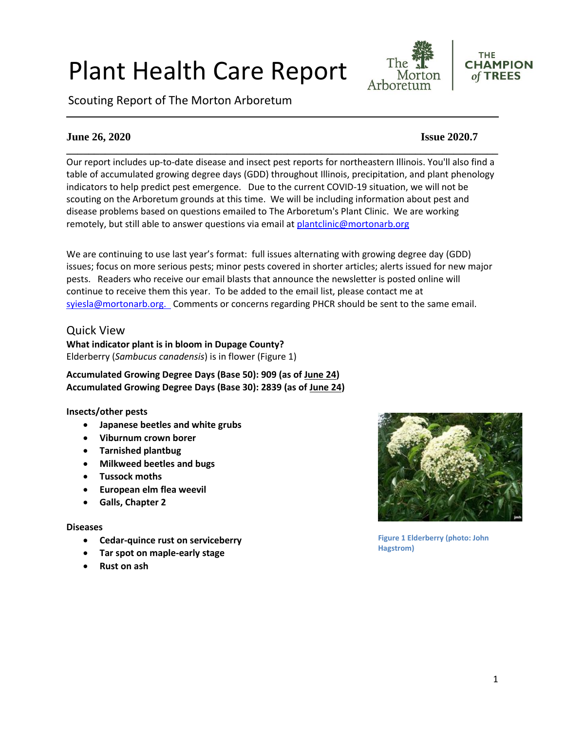# Plant Health Care Report

Scouting Report of The Morton Arboretum





# **June 26, 2020 Issue 2020.7**

**\_\_\_\_\_\_\_\_\_\_\_\_\_\_\_\_\_\_\_\_\_\_\_\_\_\_\_\_\_\_\_\_\_\_\_\_\_\_\_\_\_\_\_\_\_\_\_\_\_\_\_\_\_\_\_\_\_\_\_\_\_\_\_\_\_\_\_\_\_\_\_\_\_\_\_\_\_\_** Our report includes up-to-date disease and insect pest reports for northeastern Illinois. You'll also find a table of accumulated growing degree days (GDD) throughout Illinois, precipitation, and plant phenology indicators to help predict pest emergence. Due to the current COVID-19 situation, we will not be scouting on the Arboretum grounds at this time. We will be including information about pest and disease problems based on questions emailed to The Arboretum's Plant Clinic. We are working remotely, but still able to answer questions via email at [plantclinic@mortonarb.org](mailto:plantclinic@mortonarb.org)

We are continuing to use last year's format: full issues alternating with growing degree day (GDD) issues; focus on more serious pests; minor pests covered in shorter articles; alerts issued for new major pests. Readers who receive our email blasts that announce the newsletter is posted online will continue to receive them this year. To be added to the email list, please contact me at [syiesla@mortonarb.org.](mailto:syiesla@mortonarb.org) Comments or concerns regarding PHCR should be sent to the same email.

# Quick View

**What indicator plant is in bloom in Dupage County?** Elderberry (*Sambucus canadensis*) is in flower (Figure 1)

**Accumulated Growing Degree Days (Base 50): 909 (as of June 24) Accumulated Growing Degree Days (Base 30): 2839 (as of June 24)**

#### **Insects/other pests**

- **Japanese beetles and white grubs**
- **Viburnum crown borer**
- **Tarnished plantbug**
- **Milkweed beetles and bugs**
- **Tussock moths**
- **European elm flea weevil**
- **Galls, Chapter 2**

#### **Diseases**

- **Cedar-quince rust on serviceberry**
- **Tar spot on maple-early stage**
- **Rust on ash**



**Figure 1 Elderberry (photo: John Hagstrom)**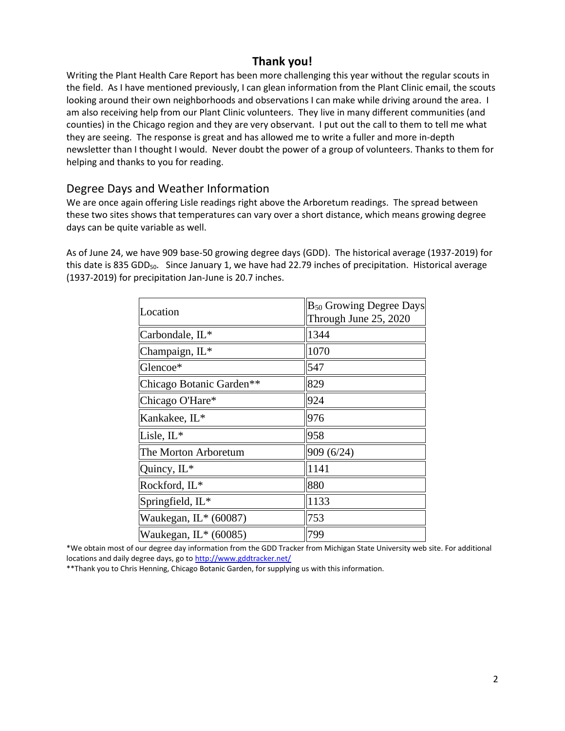# **Thank you!**

Writing the Plant Health Care Report has been more challenging this year without the regular scouts in the field. As I have mentioned previously, I can glean information from the Plant Clinic email, the scouts looking around their own neighborhoods and observations I can make while driving around the area. I am also receiving help from our Plant Clinic volunteers. They live in many different communities (and counties) in the Chicago region and they are very observant. I put out the call to them to tell me what they are seeing. The response is great and has allowed me to write a fuller and more in-depth newsletter than I thought I would. Never doubt the power of a group of volunteers. Thanks to them for helping and thanks to you for reading.

# Degree Days and Weather Information

We are once again offering Lisle readings right above the Arboretum readings. The spread between these two sites shows that temperatures can vary over a short distance, which means growing degree days can be quite variable as well.

As of June 24, we have 909 base-50 growing degree days (GDD). The historical average (1937-2019) for this date is 835 GDD<sub>50</sub>. Since January 1, we have had 22.79 inches of precipitation. Historical average (1937-2019) for precipitation Jan-June is 20.7 inches.

| Location                 | <b>B</b> <sub>50</sub> Growing Degree Days<br>Through June 25, 2020 |
|--------------------------|---------------------------------------------------------------------|
|                          |                                                                     |
| Carbondale, IL*          | 1344                                                                |
| Champaign, IL*           | 1070                                                                |
| Glencoe*                 | 547                                                                 |
| Chicago Botanic Garden** | 829                                                                 |
| Chicago O'Hare*          | 924                                                                 |
| Kankakee, IL*            | 976                                                                 |
| Lisle, $IL^*$            | 958                                                                 |
| The Morton Arboretum     | 909 (6/24)                                                          |
| Quincy, IL*              | 1141                                                                |
| Rockford, IL*            | 880                                                                 |
| Springfield, IL*         | 1133                                                                |
| Waukegan, IL* (60087)    | 753                                                                 |
| Waukegan, IL* (60085)    | 799                                                                 |

\*We obtain most of our degree day information from the GDD Tracker from Michigan State University web site. For additional locations and daily degree days, go t[o http://www.gddtracker.net/](http://www.gddtracker.net/)

\*\*Thank you to Chris Henning, Chicago Botanic Garden, for supplying us with this information.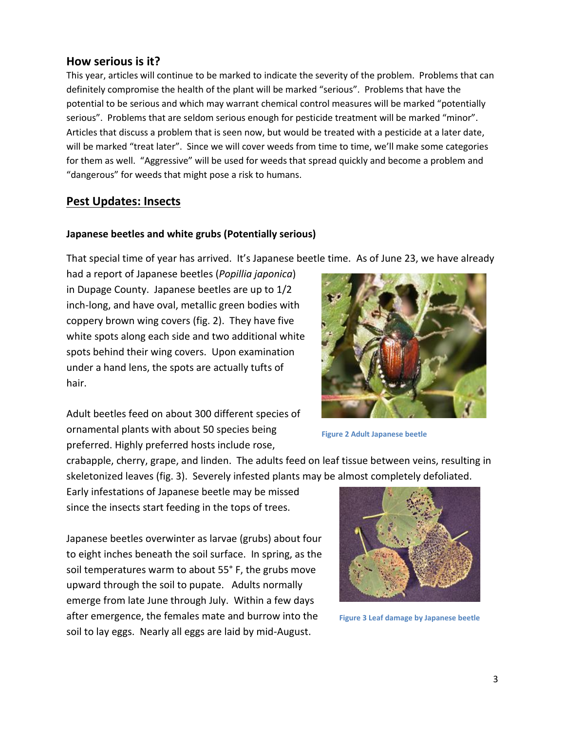# **How serious is it?**

This year, articles will continue to be marked to indicate the severity of the problem. Problems that can definitely compromise the health of the plant will be marked "serious".Problems that have the potential to be serious and which may warrant chemical control measures will be marked "potentially serious". Problems that are seldom serious enough for pesticide treatment will be marked "minor". Articles that discuss a problem that is seen now, but would be treated with a pesticide at a later date, will be marked "treat later". Since we will cover weeds from time to time, we'll make some categories for them as well. "Aggressive" will be used for weeds that spread quickly and become a problem and "dangerous" for weeds that might pose a risk to humans.

# **Pest Updates: Insects**

#### **Japanese beetles and white grubs (Potentially serious)**

That special time of year has arrived. It's Japanese beetle time. As of June 23, we have already

had a report of Japanese beetles (*Popillia japonica*) in Dupage County. Japanese beetles are up to 1/2 inch-long, and have oval, metallic green bodies with coppery brown wing covers (fig. 2). They have five white spots along each side and two additional white spots behind their wing covers. Upon examination under a hand lens, the spots are actually tufts of hair.

Adult beetles feed on about 300 different species of ornamental plants with about 50 species being preferred. Highly preferred hosts include rose,

crabapple, cherry, grape, and linden. The adults feed on leaf tissue between veins, resulting in skeletonized leaves (fig. 3). Severely infested plants may be almost completely defoliated.

Early infestations of Japanese beetle may be missed since the insects start feeding in the tops of trees.

Japanese beetles overwinter as larvae (grubs) about four to eight inches beneath the soil surface. In spring, as the soil temperatures warm to about 55° F, the grubs move upward through the soil to pupate. Adults normally emerge from late June through July. Within a few days after emergence, the females mate and burrow into the soil to lay eggs. Nearly all eggs are laid by mid-August.

**Figure 2 Adult Japanese beetle**



**Figure 3 Leaf damage by Japanese beetle**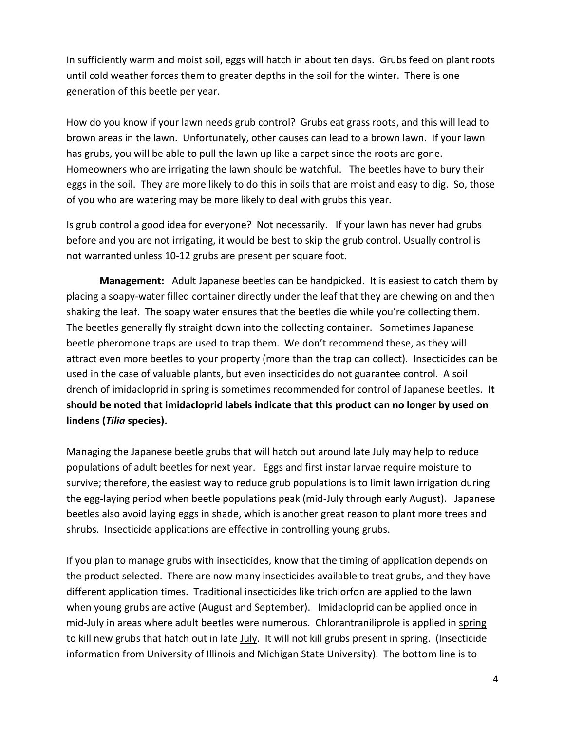In sufficiently warm and moist soil, eggs will hatch in about ten days. Grubs feed on plant roots until cold weather forces them to greater depths in the soil for the winter. There is one generation of this beetle per year.

How do you know if your lawn needs grub control? Grubs eat grass roots, and this will lead to brown areas in the lawn. Unfortunately, other causes can lead to a brown lawn. If your lawn has grubs, you will be able to pull the lawn up like a carpet since the roots are gone. Homeowners who are irrigating the lawn should be watchful. The beetles have to bury their eggs in the soil. They are more likely to do this in soils that are moist and easy to dig. So, those of you who are watering may be more likely to deal with grubs this year.

Is grub control a good idea for everyone? Not necessarily. If your lawn has never had grubs before and you are not irrigating, it would be best to skip the grub control. Usually control is not warranted unless 10-12 grubs are present per square foot.

**Management:** Adult Japanese beetles can be handpicked. It is easiest to catch them by placing a soapy-water filled container directly under the leaf that they are chewing on and then shaking the leaf. The soapy water ensures that the beetles die while you're collecting them. The beetles generally fly straight down into the collecting container. Sometimes Japanese beetle pheromone traps are used to trap them. We don't recommend these, as they will attract even more beetles to your property (more than the trap can collect). Insecticides can be used in the case of valuable plants, but even insecticides do not guarantee control. A soil drench of imidacloprid in spring is sometimes recommended for control of Japanese beetles. **It should be noted that imidacloprid labels indicate that this product can no longer by used on lindens (***Tilia* **species).**

Managing the Japanese beetle grubs that will hatch out around late July may help to reduce populations of adult beetles for next year. Eggs and first instar larvae require moisture to survive; therefore, the easiest way to reduce grub populations is to limit lawn irrigation during the egg-laying period when beetle populations peak (mid-July through early August). Japanese beetles also avoid laying eggs in shade, which is another great reason to plant more trees and shrubs. Insecticide applications are effective in controlling young grubs.

If you plan to manage grubs with insecticides, know that the timing of application depends on the product selected. There are now many insecticides available to treat grubs, and they have different application times. Traditional insecticides like trichlorfon are applied to the lawn when young grubs are active (August and September). Imidacloprid can be applied once in mid-July in areas where adult beetles were numerous. Chlorantraniliprole is applied in spring to kill new grubs that hatch out in late July. It will not kill grubs present in spring. (Insecticide information from University of Illinois and Michigan State University). The bottom line is to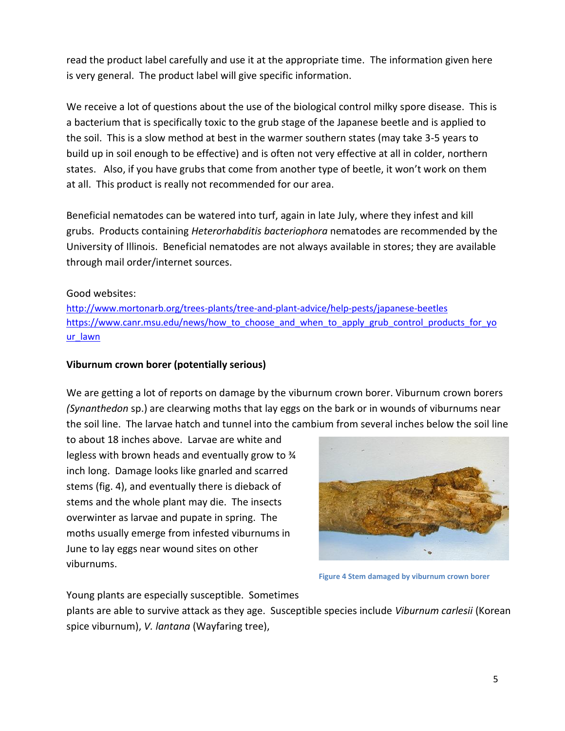read the product label carefully and use it at the appropriate time. The information given here is very general. The product label will give specific information.

We receive a lot of questions about the use of the biological control milky spore disease. This is a bacterium that is specifically toxic to the grub stage of the Japanese beetle and is applied to the soil. This is a slow method at best in the warmer southern states (may take 3-5 years to build up in soil enough to be effective) and is often not very effective at all in colder, northern states. Also, if you have grubs that come from another type of beetle, it won't work on them at all. This product is really not recommended for our area.

Beneficial nematodes can be watered into turf, again in late July, where they infest and kill grubs. Products containing *Heterorhabditis bacteriophora* nematodes are recommended by the University of Illinois. Beneficial nematodes are not always available in stores; they are available through mail order/internet sources.

# Good websites:

<http://www.mortonarb.org/trees-plants/tree-and-plant-advice/help-pests/japanese-beetles> [https://www.canr.msu.edu/news/how\\_to\\_choose\\_and\\_when\\_to\\_apply\\_grub\\_control\\_products\\_for\\_yo](https://www.canr.msu.edu/news/how_to_choose_and_when_to_apply_grub_control_products_for_your_lawn)\_ [ur\\_lawn](https://www.canr.msu.edu/news/how_to_choose_and_when_to_apply_grub_control_products_for_your_lawn)

### **Viburnum crown borer (potentially serious)**

We are getting a lot of reports on damage by the viburnum crown borer. Viburnum crown borers *(Synanthedon* sp.) are clearwing moths that lay eggs on the bark or in wounds of viburnums near the soil line. The larvae hatch and tunnel into the cambium from several inches below the soil line

to about 18 inches above. Larvae are white and legless with brown heads and eventually grow to ¾ inch long. Damage looks like gnarled and scarred stems (fig. 4), and eventually there is dieback of stems and the whole plant may die. The insects overwinter as larvae and pupate in spring. The moths usually emerge from infested viburnums in June to lay eggs near wound sites on other viburnums.



**Figure 4 Stem damaged by viburnum crown borer**

Young plants are especially susceptible. Sometimes

plants are able to survive attack as they age. Susceptible species include *Viburnum carlesii* (Korean spice viburnum), *V. lantana* (Wayfaring tree),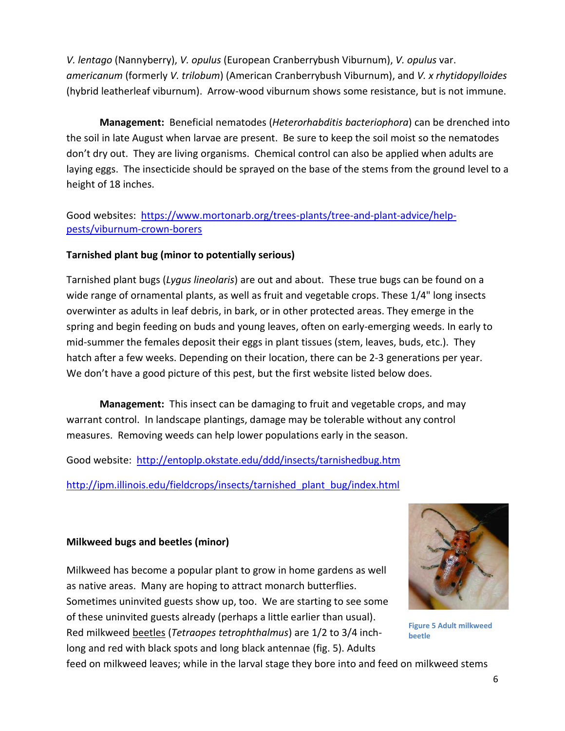*V. lentago* (Nannyberry), *V. opulus* (European Cranberrybush Viburnum), *V. opulus* var. *americanum* (formerly *V. trilobum*) (American Cranberrybush Viburnum), and *V. x rhytidopylloides*  (hybrid leatherleaf viburnum). Arrow-wood viburnum shows some resistance, but is not immune.

**Management:** Beneficial nematodes (*Heterorhabditis bacteriophora*) can be drenched into the soil in late August when larvae are present. Be sure to keep the soil moist so the nematodes don't dry out. They are living organisms. Chemical control can also be applied when adults are laying eggs. The insecticide should be sprayed on the base of the stems from the ground level to a height of 18 inches.

# Good websites: [https://www.mortonarb.org/trees-plants/tree-and-plant-advice/help](https://www.mortonarb.org/trees-plants/tree-and-plant-advice/help-pests/viburnum-crown-borers)[pests/viburnum-crown-borers](https://www.mortonarb.org/trees-plants/tree-and-plant-advice/help-pests/viburnum-crown-borers)

# **Tarnished plant bug (minor to potentially serious)**

Tarnished plant bugs (*Lygus lineolaris*) are out and about. These true bugs can be found on a wide range of ornamental plants, as well as fruit and vegetable crops. These 1/4" long insects overwinter as adults in leaf debris, in bark, or in other protected areas. They emerge in the spring and begin feeding on buds and young leaves, often on early-emerging weeds. In early to mid-summer the females deposit their eggs in plant tissues (stem, leaves, buds, etc.). They hatch after a few weeks. Depending on their location, there can be 2-3 generations per year. We don't have a good picture of this pest, but the first website listed below does.

**Management:** This insect can be damaging to fruit and vegetable crops, and may warrant control. In landscape plantings, damage may be tolerable without any control measures. Removing weeds can help lower populations early in the season.

Good website: <http://entoplp.okstate.edu/ddd/insects/tarnishedbug.htm>

[http://ipm.illinois.edu/fieldcrops/insects/tarnished\\_plant\\_bug/index.html](http://ipm.illinois.edu/fieldcrops/insects/tarnished_plant_bug/index.html)

# **Milkweed bugs and beetles (minor)**

Milkweed has become a popular plant to grow in home gardens as well as native areas. Many are hoping to attract monarch butterflies. Sometimes uninvited guests show up, too. We are starting to see some of these uninvited guests already (perhaps a little earlier than usual). Red milkweed beetles (*Tetraopes tetrophthalmus*) are 1/2 to 3/4 inchlong and red with black spots and long black antennae (fig. 5). Adults



**Figure 5 Adult milkweed beetle**

feed on milkweed leaves; while in the larval stage they bore into and feed on milkweed stems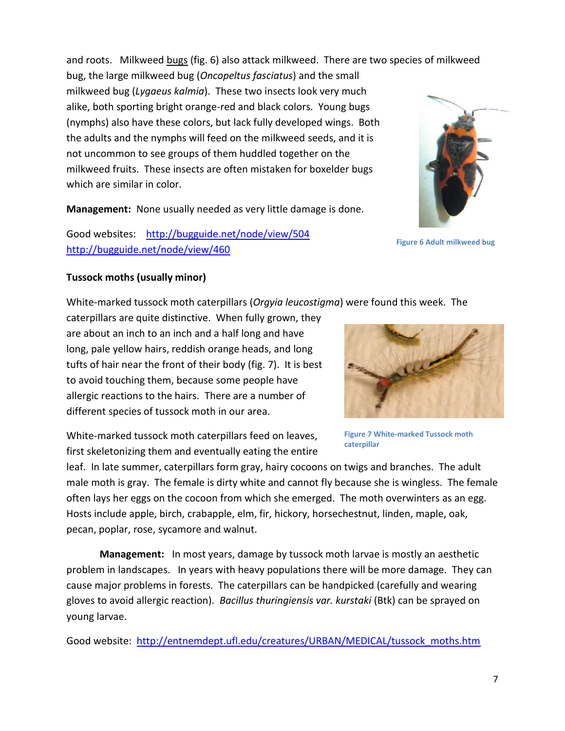and roots. Milkweed bugs (fig. 6) also attack milkweed. There are two species of milkweed

bug, the large milkweed bug (*Oncopeltus fasciatus*) and the small milkweed bug (*Lygaeus kalmia*). These two insects look very much alike, both sporting bright orange-red and black colors. Young bugs (nymphs) also have these colors, but lack fully developed wings. Both the adults and the nymphs will feed on the milkweed seeds, and it is not uncommon to see groups of them huddled together on the milkweed fruits. These insects are often mistaken for boxelder bugs which are similar in color.

**Management:** None usually needed as very little damage is done.

Good websites: <http://bugguide.net/node/view/504> <http://bugguide.net/node/view/460>

# **Tussock moths (usually minor)**

White-marked tussock moth caterpillars (*Orgyia leucostigma*) were found this week. The

caterpillars are quite distinctive. When fully grown, they are about an inch to an inch and a half long and have long, pale yellow hairs, reddish orange heads, and long tufts of hair near the front of their body (fig. 7). It is best to avoid touching them, because some people have allergic reactions to the hairs. There are a number of different species of tussock moth in our area.

White-marked tussock moth caterpillars feed on leaves, first skeletonizing them and eventually eating the entire

leaf. In late summer, caterpillars form gray, hairy cocoons on twigs and branches. The adult male moth is gray. The female is dirty white and cannot fly because she is wingless. The female often lays her eggs on the cocoon from which she emerged. The moth overwinters as an egg. Hosts include apple, birch, crabapple, elm, fir, hickory, horsechestnut, linden, maple, oak, pecan, poplar, rose, sycamore and walnut.

**Management:** In most years, damage by tussock moth larvae is mostly an aesthetic problem in landscapes. In years with heavy populations there will be more damage. They can cause major problems in forests. The caterpillars can be handpicked (carefully and wearing gloves to avoid allergic reaction). *Bacillus thuringiensis var. kurstaki* (Btk) can be sprayed on young larvae.

Good website: [http://entnemdept.ufl.edu/creatures/URBAN/MEDICAL/tussock\\_moths.htm](http://entnemdept.ufl.edu/creatures/URBAN/MEDICAL/tussock_moths.htm)



**Figure 7 White-marked Tussock moth** 

**caterpillar**



**Figure 6 Adult milkweed bug**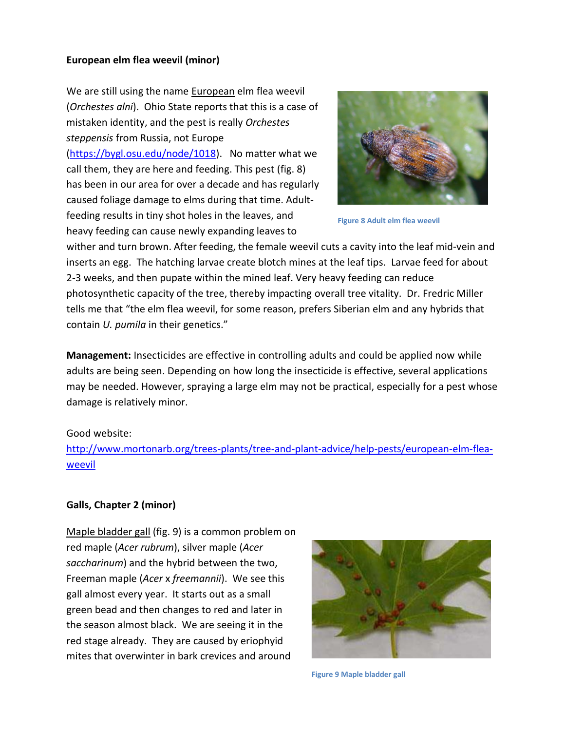# **European elm flea weevil (minor)**

We are still using the name **European** elm flea weevil (*Orchestes alni*). Ohio State reports that this is a case of mistaken identity, and the pest is really *Orchestes steppensis* from Russia, not Europe [\(https://bygl.osu.edu/node/1018\)](https://bygl.osu.edu/node/1018). No matter what we call them, they are here and feeding. This pest (fig. 8) has been in our area for over a decade and has regularly caused foliage damage to elms during that time. Adultfeeding results in tiny shot holes in the leaves, and heavy feeding can cause newly expanding leaves to



**Figure 8 Adult elm flea weevil**

wither and turn brown. After feeding, the female weevil cuts a cavity into the leaf mid-vein and inserts an egg. The hatching larvae create blotch mines at the leaf tips. Larvae feed for about 2-3 weeks, and then pupate within the mined leaf. Very heavy feeding can reduce photosynthetic capacity of the tree, thereby impacting overall tree vitality. Dr. Fredric Miller tells me that "the elm flea weevil, for some reason, prefers Siberian elm and any hybrids that contain *U. pumila* in their genetics."

**Management:** Insecticides are effective in controlling adults and could be applied now while adults are being seen. Depending on how long the insecticide is effective, several applications may be needed. However, spraying a large elm may not be practical, especially for a pest whose damage is relatively minor.

#### Good website:

[http://www.mortonarb.org/trees-plants/tree-and-plant-advice/help-pests/european-elm-flea](http://www.mortonarb.org/trees-plants/tree-and-plant-advice/help-pests/european-elm-flea-weevil)[weevil](http://www.mortonarb.org/trees-plants/tree-and-plant-advice/help-pests/european-elm-flea-weevil)

#### **Galls, Chapter 2 (minor)**

Maple bladder gall (fig. 9) is a common problem on red maple (*Acer rubrum*), silver maple (*Acer saccharinum*) and the hybrid between the two, Freeman maple (*Acer* x *freemannii*). We see this gall almost every year. It starts out as a small green bead and then changes to red and later in the season almost black. We are seeing it in the red stage already. They are caused by eriophyid mites that overwinter in bark crevices and around



**Figure 9 Maple bladder gall**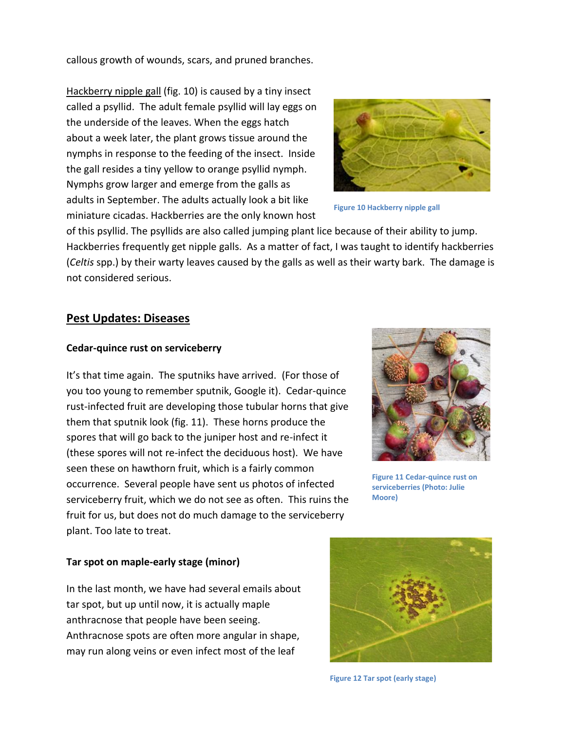callous growth of wounds, scars, and pruned branches.

Hackberry nipple gall (fig. 10) is caused by a tiny insect called a psyllid. The adult female psyllid will lay eggs on the underside of the leaves. When the eggs hatch about a week later, the plant grows tissue around the nymphs in response to the feeding of the insect. Inside the gall resides a tiny yellow to orange psyllid nymph. Nymphs grow larger and emerge from the galls as adults in September. The adults actually look a bit like miniature cicadas. Hackberries are the only known host



**Figure 10 Hackberry nipple gall**

of this psyllid. The psyllids are also called jumping plant lice because of their ability to jump. Hackberries frequently get nipple galls. As a matter of fact, I was taught to identify hackberries (*Celtis* spp.) by their warty leaves caused by the galls as well as their warty bark. The damage is not considered serious.

# **Pest Updates: Diseases**

#### **Cedar-quince rust on serviceberry**

It's that time again. The sputniks have arrived. (For those of you too young to remember sputnik, Google it). Cedar-quince rust-infected fruit are developing those tubular horns that give them that sputnik look (fig. 11). These horns produce the spores that will go back to the juniper host and re-infect it (these spores will not re-infect the deciduous host). We have seen these on hawthorn fruit, which is a fairly common occurrence. Several people have sent us photos of infected serviceberry fruit, which we do not see as often. This ruins the fruit for us, but does not do much damage to the serviceberry plant. Too late to treat.



**Figure 11 Cedar-quince rust on serviceberries (Photo: Julie Moore)**

#### **Tar spot on maple-early stage (minor)**

In the last month, we have had several emails about tar spot, but up until now, it is actually maple anthracnose that people have been seeing. Anthracnose spots are often more angular in shape, may run along veins or even infect most of the leaf



**Figure 12 Tar spot (early stage)**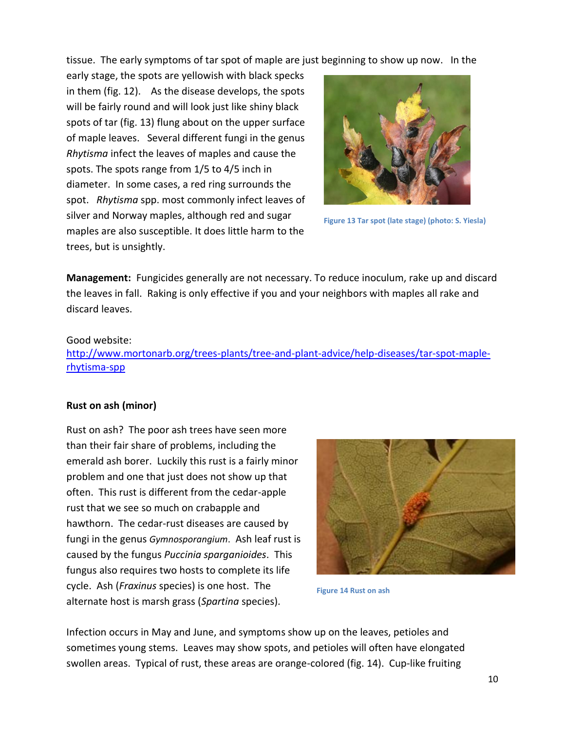tissue. The early symptoms of tar spot of maple are just beginning to show up now. In the

early stage, the spots are yellowish with black specks in them (fig. 12). As the disease develops, the spots will be fairly round and will look just like shiny black spots of tar (fig. 13) flung about on the upper surface of maple leaves. Several different fungi in the genus *Rhytisma* infect the leaves of maples and cause the spots. The spots range from 1/5 to 4/5 inch in diameter. In some cases, a red ring surrounds the spot. *Rhytisma* spp. most commonly infect leaves of silver and Norway maples, although red and sugar maples are also susceptible. It does little harm to the trees, but is unsightly.



**Figure 13 Tar spot (late stage) (photo: S. Yiesla)**

**Management:** Fungicides generally are not necessary. To reduce inoculum, rake up and discard the leaves in fall. Raking is only effective if you and your neighbors with maples all rake and discard leaves.

#### Good website:

[http://www.mortonarb.org/trees-plants/tree-and-plant-advice/help-diseases/tar-spot-maple](http://www.mortonarb.org/trees-plants/tree-and-plant-advice/help-diseases/tar-spot-maple-rhytisma-spp)[rhytisma-spp](http://www.mortonarb.org/trees-plants/tree-and-plant-advice/help-diseases/tar-spot-maple-rhytisma-spp)

#### **Rust on ash (minor)**

Rust on ash? The poor ash trees have seen more than their fair share of problems, including the emerald ash borer. Luckily this rust is a fairly minor problem and one that just does not show up that often. This rust is different from the cedar-apple rust that we see so much on crabapple and hawthorn. The cedar-rust diseases are caused by fungi in the genus *Gymnosporangium*. Ash leaf rust is caused by the fungus *Puccinia sparganioides*. This fungus also requires two hosts to complete its life cycle. Ash (*Fraxinus* species) is one host. The alternate host is marsh grass (*Spartina* species).



**Figure 14 Rust on ash**

Infection occurs in May and June, and symptoms show up on the leaves, petioles and sometimes young stems. Leaves may show spots, and petioles will often have elongated swollen areas. Typical of rust, these areas are orange-colored (fig. 14). Cup-like fruiting